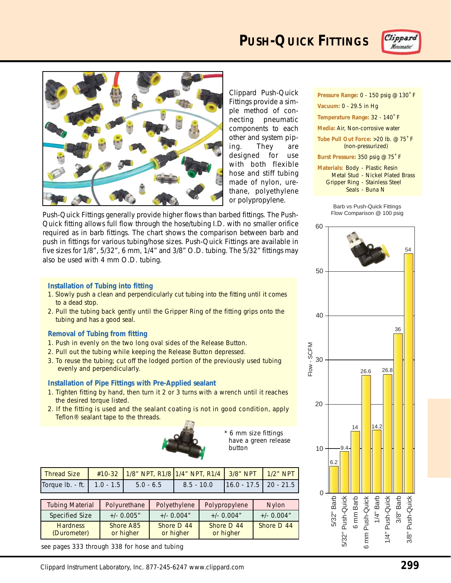



Clippard Push-Quick Fittings provide a simple method of connecting pneumatic components to each other and system piping. They are designed for use with both flexible hose and stiff tubing made of nylon, urethane, polyethylene or polypropylene.

Push-Quick Fittings generally provide higher flows than barbed fittings. The Push-Quick fitting allows full flow through the hose/tubing I.D. with no smaller orifice required as in barb fittings. The chart shows the comparison between barb and push in fittings for various tubing/hose sizes. Push-Quick Fittings are available in five sizes for 1/8", 5/32", 6 mm, 1/4" and 3/8" O.D. tubing. The 5/32" fittings may also be used with 4 mm O.D. tubing.

#### **Installation of Tubing into fitting**

- 1. Slowly push a clean and perpendicularly cut tubing into the fitting until it comes to a dead stop.
- 2. Pull the tubing back gently until the Gripper Ring of the fitting grips onto the tubing and has a good seal.

#### **Removal of Tubing from fitting**

- 1. Push in evenly on the two long oval sides of the Release Button.
- 2. Pull out the tubing while keeping the Release Button depressed.
- 3. To reuse the tubing; cut off the lodged portion of the previously used tubing evenly and perpendicularly.

#### **Installation of Pipe Fittings with Pre-Applied sealant**

- 1. Tighten fitting by hand, then turn it 2 or 3 turns with a wrench until it reaches the desired torque listed.
- 2. If the fitting is used and the sealant coating is not in good condition, apply Teflon® sealant tape to the threads.



\* 6 mm size fittings have a green release button

| <b>Thread Size</b>                       |  | #10-32 1/8" NPT, R1/8 1/4" NPT, R1/4 3/8" NPT 1/2" NPT |  |
|------------------------------------------|--|--------------------------------------------------------|--|
| Torque Ib. - ft.   1.0 - 1.5   5.0 - 6.5 |  | $8.5 - 10.0$ $16.0 - 17.5$ 20 - 21.5                   |  |

| <b>Tubing Material</b>         | Polyurethane           | Polyethylene              | Polypropylene           | <b>Nylon</b> |
|--------------------------------|------------------------|---------------------------|-------------------------|--------------|
| <b>Specified Size</b>          | $+/- 0.005"$           | $+/- 0.004"$              | $+/- 0.004"$            | $+/- 0.004"$ |
| <b>Hardness</b><br>(Durometer) | Shore A85<br>or higher | Shore $D$ 44<br>or higher | Shore D 44<br>or higher | Shore D 44   |

see pages 333 through 338 for hose and tubing



**Materials:** Body - Plastic Resin Metal Stud - Nickel Plated Brass Gripper Ring - Stainless Steel Seals - Buna N

Barb vs Push-Quick Fittings Flow Comparison @ 100 psig

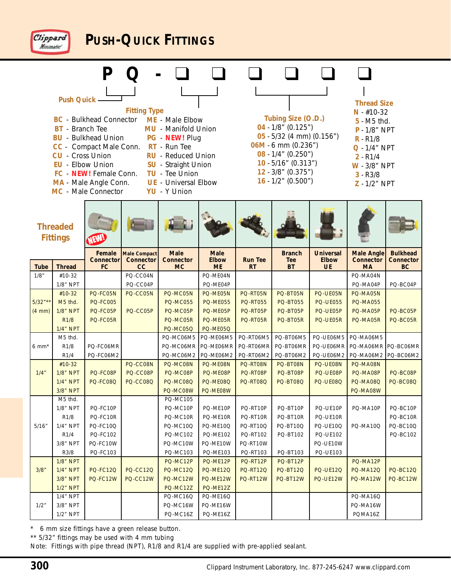

|                     | <b>Push Quick -</b>          |                                |                     |                                        |                        |                        |                             |                        | <b>Thread Size</b>                 |                      |
|---------------------|------------------------------|--------------------------------|---------------------|----------------------------------------|------------------------|------------------------|-----------------------------|------------------------|------------------------------------|----------------------|
|                     |                              |                                | <b>Fitting Type</b> |                                        |                        |                        | Tubing Size (O.D.)          |                        | $N - #10-32$                       |                      |
|                     | <b>BT</b> - Branch Tee       | <b>BC</b> - Bulkhead Connector |                     | ME - Male Elbow<br>MU - Manifold Union |                        |                        | $04 - 1/8" (0.125")$        |                        | 5 - M5 thd.                        |                      |
|                     |                              | <b>BU</b> - Bulkhead Union     |                     | PG - NEW! Plug                         |                        |                        | $05 - 5/32$ (4 mm) (0.156") |                        | <b>P</b> - 1/8" NPT<br>$R - R1/8$  |                      |
|                     |                              | CC - Compact Male Conn.        |                     | RT - Run Tee                           |                        |                        | $06M - 6$ mm $(0.236")$     |                        | $Q - 1/4" NPT$                     |                      |
|                     | <b>CU</b> - Cross Union      |                                |                     | <b>RU</b> - Reduced Union              |                        |                        | $08 - 1/4$ " (0.250")       |                        | $2 - R1/4$                         |                      |
|                     | <b>EU</b> - Elbow Union      |                                |                     | <b>SU</b> - Straight Union             |                        |                        | $10 - 5/16$ " (0.313")      |                        | <b>W</b> - 3/8" NPT                |                      |
|                     |                              | FC - NEW! Female Conn.         |                     | TU - Tee Union                         |                        |                        | $12 - 3/8$ " (0.375")       |                        | $3 - R3/8$                         |                      |
|                     |                              | MA - Male Angle Conn.          |                     | <b>UE</b> - Universal Elbow            |                        |                        | $16 - 1/2$ " (0.500")       |                        | Z - 1/2" NPT                       |                      |
|                     |                              | MC - Male Connector            |                     | YU - Y Union                           |                        |                        |                             |                        |                                    |                      |
|                     |                              |                                |                     |                                        |                        |                        |                             |                        |                                    |                      |
|                     |                              |                                |                     |                                        |                        |                        |                             |                        |                                    |                      |
|                     | <b>Threaded</b>              |                                |                     |                                        |                        |                        |                             |                        |                                    |                      |
|                     | <b>Fittings</b>              | VEW                            |                     |                                        |                        |                        |                             |                        |                                    |                      |
|                     |                              | Female                         | <b>Male Compact</b> | <b>Male</b>                            | <b>Male</b>            |                        | <b>Branch</b>               | <b>Universal</b>       | <b>Male Angle</b>                  | <b>Bulkhead</b>      |
|                     |                              | <b>Connector</b>               | <b>Connector</b>    | <b>Connector</b>                       | <b>Elbow</b>           | <b>Run Tee</b>         | Tee                         | <b>Elbow</b>           | <b>Connector</b>                   | <b>Connector</b>     |
| <b>Tube</b><br>1/8" | <b>Thread</b><br>#10-32      | <b>FC</b>                      | cc<br>PQ-CC04N      | <b>MC</b>                              | <b>ME</b><br>PQ-ME04N  | <b>RT</b>              | <b>BT</b>                   | UE                     | <b>MA</b><br>PQ-MA04N              | <b>BC</b>            |
|                     | 1/8" NPT                     |                                | PQ-CC04P            |                                        | PQ-ME04P               |                        |                             |                        | PQ-MA04P                           | PQ-BC04P             |
|                     | #10-32                       | PQ-FC05N                       | PQ-CC05N            | PQ-MC05N                               | PQ-ME05N               | PQ-RT05N               | PQ-BT05N                    | PQ-UE05N               | PQ-MA05N                           |                      |
| $5/32***$           | M5 thd.                      | <b>PQ-FC005</b>                |                     | <b>PQ-MC055</b>                        | <b>PQ-ME055</b>        | <b>PQ-RT055</b>        | <b>PQ-BT055</b>             | <b>PQ-UE055</b>        | <b>PQ-MA055</b>                    |                      |
| (4 mm)              | <b>1/8" NPT</b>              | PQ-FC05P                       | PQ-CC05P            | PQ-MC05P                               | PQ-ME05P               | PQ-RT05P               | PQ-BT05P                    | PQ-UE05P               | PQ-MA05P                           | PQ-BC05P             |
|                     | R1/8                         | PQ-FC05R                       |                     | PQ-MC05R                               | PQ-ME05R               | PQ-RT05R               | PQ-BT05R                    | PQ-UE05R               | PQ-MA05R                           | PQ-BC05R             |
|                     | $1/4$ " NPT                  |                                |                     | PQ-MC05Q                               | PQ-ME05Q               |                        |                             |                        |                                    |                      |
| 6 mm*               | M5 thd.<br>R1/8              | PQ-FC06MR                      |                     | PQ-MC06M5<br>PQ-MC06MR                 | PQ-ME06M5<br>PQ-ME06MR | PQ-RT06M5<br>PQ-RT06MR | PQ-BT06M5<br>PQ-BT06MR      | PQ-UE06M5<br>PQ-UE06MR | PQ-MA06M5<br>PQ-MA06MR   PQ-BC06MR |                      |
|                     | R <sub>1/4</sub>             | PQ-FC06M2                      |                     | PQ-MC06M2                              | PQ-ME06M2              | PQ-RT06M2              | PQ-BT06M2                   | PQ-UE06M2              | PQ-MA06M2                          | PQ-BC06M2            |
|                     | #10-32                       |                                | PQ-CC08N            | PQ-MC08N                               | PQ-ME08N               | PQ-RT08N               | PQ-BT08N                    | PQ-UE08N               | PQ-MA08N                           |                      |
| $1/4$ "             | <b>1/8" NPT</b>              | PQ-FC08P                       | PQ-CC08P            | PQ-MC08P                               | PQ-ME08P               | PQ-RT08P               | PQ-BT08P                    | PQ-UE08P               | PQ-MA08P                           | PQ-BC08P             |
|                     | $1/4$ " NPT                  | PQ-FC08Q                       | PQ-CC08Q            | PQ-MC08Q                               | PQ-ME08Q               | PQ-RT08Q               | PQ-BT08Q                    | PQ-UE08Q               | PQ-MA08Q                           | PQ-BC08Q             |
|                     | 3/8" NPT                     |                                |                     | PQ-MC08W                               | PQ-ME08W               |                        |                             |                        | PQ-MA08W                           |                      |
|                     | M5 thd.                      |                                |                     | <b>PQ-MC105</b>                        |                        |                        |                             |                        |                                    |                      |
|                     | 1/8" NPT<br>R <sub>1/8</sub> | PQ-FC10P<br>PQ-FC10R           |                     | PQ-MC10P<br>PQ-MC10R                   | PQ-ME10P<br>PQ-ME10R   | PQ-RT10P<br>PQ-RT10R   | PQ-BT10P<br>PQ-BT10R        | PQ-UE10P<br>PQ-UE10R   | PQ-MA10P                           | PQ-BC10P<br>PQ-BC10R |
| 5/16"               | $1/4"$ NPT                   | PQ-FC10Q                       |                     | PQ-MC10Q                               | PQ-ME10Q               | PQ-RT10Q               | PQ-BT10Q                    | PQ-UE10Q               | PQ-MA10Q                           | PQ-BC10Q             |
|                     | R <sub>1</sub> /4            | <b>PQ-FC102</b>                |                     | PQ-MC102                               | <b>PQ-ME102</b>        | PQ-RT102               | PQ-BT102                    | <b>PQ-UE102</b>        |                                    | PQ-BC102             |
|                     | 3/8" NPT                     | PQ-FC10W                       |                     | PQ-MC10W                               | PQ-ME10W               | PQ-RT10W               |                             | PQ-UE10W               |                                    |                      |
|                     | R3/8                         | PQ-FC103                       |                     | PQ-MC103                               | PQ-ME103               | PQ-RT103               | PQ-BT103                    | PQ-UE103               |                                    |                      |
|                     | 1/8" NPT                     |                                |                     | PQ-MC12P                               | PQ-ME12P               | PQ-RT12P               | PQ-BT12P                    |                        | PQ-MA12P                           |                      |
| 3/8''               | 1/4" NPT                     | PQ-FC12Q                       | PQ-CC12Q            | <b>PQ-MC12Q</b>                        | <b>PQ-ME12Q</b>        | <b>PQ-RT12Q</b>        | <b>PQ-BT12Q</b>             | <b>PQ-UE12Q</b>        | PQ-MA12Q                           | PQ-BC12Q             |
|                     | 3/8" NPT                     | PQ-FC12W                       | PQ-CC12W            | PQ-MC12W                               | PQ-ME12W               | PQ-RT12W               | PQ-BT12W                    | PQ-UE12W               | PQ-MA12W                           | PQ-BC12W             |
|                     | $1/2$ " NPT<br>$1/4$ " NPT   |                                |                     | PQ-MC12Z<br>PQ-MC16Q                   | PQ-ME12Z<br>PQ-ME16Q   |                        |                             |                        | PQ-MA16Q                           |                      |
| 1/2"                | 3/8" NPT                     |                                |                     | PQ-MC16W                               | PQ-ME16W               |                        |                             |                        | PQ-MA16W                           |                      |
|                     | 1/2" NPT                     |                                |                     | PQ-MC16Z                               | PQ-ME16Z               |                        |                             |                        | PQMA16Z                            |                      |

\* 6 mm size fittings have a green release button.

\*\* 5/32" fittings may be used with 4 mm tubing

Note: Fittings with pipe thread (NPT), R1/8 and R1/4 are supplied with pre-applied sealant.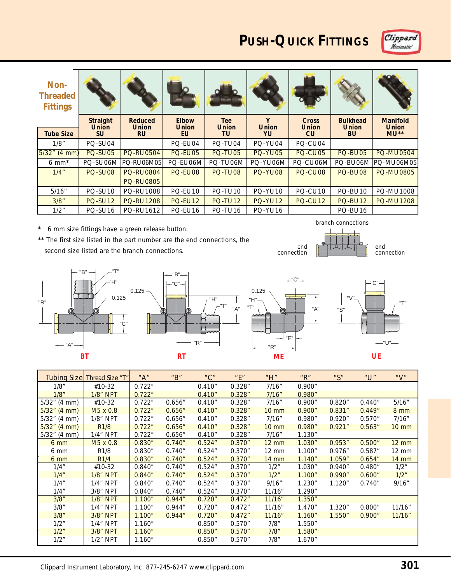

| Non-<br><b>Threaded</b><br><b>Fittings</b> |                                              |                                             |                                    |                                   |                                   |                                    |                                       |                                           |
|--------------------------------------------|----------------------------------------------|---------------------------------------------|------------------------------------|-----------------------------------|-----------------------------------|------------------------------------|---------------------------------------|-------------------------------------------|
| <b>Tube Size</b>                           | <b>Straight</b><br><b>Union</b><br><b>SU</b> | <b>Reduced</b><br><b>Union</b><br><b>RU</b> | <b>Elbow</b><br><b>Union</b><br>EU | <b>Tee</b><br><b>Union</b><br>TU. | $\mathbf v$<br><b>Union</b><br>YU | Cross<br><b>Union</b><br><b>CU</b> | <b>Bulkhead</b><br><b>Union</b><br>BU | <b>Manifold</b><br><b>Union</b><br>$MU**$ |
| 1/8"                                       | PQ-SU04                                      |                                             | PQ-EU04                            | PQ-TU04                           | PQ-YU04                           | PQ-CU04                            |                                       |                                           |
| $\sqrt{5/32}$ (4 mm)                       | PQ-SU05                                      | <b>PQ-RU0504</b>                            | PQ-EU05                            | PQ-TU05                           | <b>PQ-YU05</b>                    | PQ-CU05                            | PQ-BU05                               | <b>PQ-MU0504</b>                          |
| $6 \text{ mm}^*$                           | PQ-SU06M                                     | PQ-RU06M05                                  | PQ-EU06M                           | PQ-TU06M                          | PQ-YU06M                          | PQ-CU06M                           | PQ-BU06M                              | PQ-MU06M05                                |
| $1/4$ "                                    | PQ-SU08                                      | <b>PQ-RU0804</b><br><b>PQ-RU0805</b>        | PQ-EU08                            | PO-TU08                           | PO-YU08                           | PQ-CU08                            | PQ-BU08                               | <b>PQ-MU0805</b>                          |
| 5/16''                                     | PO-SU <sub>10</sub>                          | <b>PQ-RU1008</b>                            | PQ-EU10                            | PQ-TU10                           | <b>PQ-YU10</b>                    | PQ-CU10                            | PQ-BU10                               | PQ-MU1008                                 |
| 3/8''                                      | <b>PQ-SU12</b>                               | <b>PQ-RU1208</b>                            | <b>PQ-EU12</b>                     | <b>PQ-TU12</b>                    | <b>PQ-YU12</b>                    | PQ-CU12                            | <b>PQ-BU12</b>                        | <b>PQ-MU1208</b>                          |
| 1/2"                                       | PQ-SU16                                      | PQ-RU1612                                   | PQ-EU16                            | PQ-TU16                           | <b>PQ-YU16</b>                    |                                    | PQ-BU16                               |                                           |

\* 6 mm size fittings have a green release button.

\*\* The first size listed in the part number are the end connections, the second size listed are the branch connections.







"B"





|                 | Tubing Size Thread Size "T" | "A"    | $^{\prime\prime}$ B $^{\prime\prime}$ | $^{\prime\prime}$ C $^{\prime\prime}$ | "E"     | $^{\prime\prime}$ H $^{\prime\prime}$ | $^{\prime\prime}$ R $^{\prime\prime}$ | "S"     | $^{\prime\prime}$ U $^{\prime\prime}$ | " $V$ "           |
|-----------------|-----------------------------|--------|---------------------------------------|---------------------------------------|---------|---------------------------------------|---------------------------------------|---------|---------------------------------------|-------------------|
| 1/8"            | #10-32                      | 0.722" |                                       | 0.410"                                | 0.328'' | 7/16"                                 | 0.900"                                |         |                                       |                   |
| 1/8"            | <b>1/8" NPT</b>             | 0.722" |                                       | 0.410"                                | 0.328'' | 7/16"                                 | 0.980"                                |         |                                       |                   |
| $5/32$ " (4 mm) | #10-32                      | 0.722" | 0.656"                                | 0.410"                                | 0.328'' | 7/16"                                 | 0.900"                                | 0.820"  | 0.440"                                | 5/16"             |
| $5/32$ " (4 mm) | M <sub>5</sub> x 0.8        | 0.722" | 0.656"                                | 0.410"                                | 0.328'' | <b>10 mm</b>                          | 0.900"                                | 0.831"  | 0.449"                                | 8 mm              |
| $5/32$ " (4 mm) | 1/8" NPT                    | 0.722" | 0.656"                                | 0.410"                                | 0.328'' | 7/16"                                 | 0.980"                                | 0.920"  | 0.570"                                | 7/16"             |
| $5/32$ " (4 mm) | R <sub>1/8</sub>            | 0.722" | 0.656"                                | 0.410"                                | 0.328'' | <b>10 mm</b>                          | 0.980"                                | 0.921"  | 0.563''                               | $10 \text{ mm}$   |
| $5/32''$ (4 mm) | $1/4$ " NPT                 | 0.722" | 0.656"                                | 0.410"                                | 0.328'' | 7/16"                                 | 1.130"                                |         |                                       |                   |
| 6 <sub>mm</sub> | M <sub>5</sub> x 0.8        | 0.830" | 0.740"                                | 0.524"                                | 0.370"  | $12 \, \text{mm}$                     | 1.030"                                | 0.953'' | 0.500"                                | $12 \, \text{mm}$ |
| 6 mm            | R <sub>1/8</sub>            | 0.830" | 0.740"                                | 0.524"                                | 0.370"  | $12 \, \text{mm}$                     | 1.100"                                | 0.976"  | 0.587''                               | 12 mm             |
| 6 <sub>mm</sub> | R1/4                        | 0.830" | 0.740"                                | 0.524"                                | 0.370"  | $14 \, \text{mm}$                     | 1.140"                                | 1.059"  | 0.654"                                | $14 \text{ mm}$   |
| $1/4$ "         | #10-32                      | 0.840" | 0.740"                                | 0.524"                                | 0.370"  | 1/2"                                  | 1.030"                                | 0.940"  | 0.480"                                | $1/2$ "           |
| 1/4"            | $1/8$ " NPT                 | 0.840" | 0.740"                                | 0.524"                                | 0.370"  | 1/2"                                  | 1.100"                                | 0.990"  | 0.600"                                | 1/2"              |
| 1/4"            | $1/4$ " NPT                 | 0.840" | 0.740"                                | 0.524"                                | 0.370"  | 9/16"                                 | 1.230"                                | 1.120"  | 0.740"                                | 9/16''            |
| $1/4$ "         | 3/8" NPT                    | 0.840" | 0.740"                                | 0.524"                                | 0.370"  | 11/16"                                | 1.290"                                |         |                                       |                   |
| 3/8"            | <b>1/8" NPT</b>             | 1.100" | 0.944"                                | 0.720"                                | 0.472"  | 11/16"                                | 1.350"                                |         |                                       |                   |
| 3/8''           | $1/4$ " NPT                 | 1.100" | 0.944"                                | 0.720"                                | 0.472"  | 11/16"                                | 1.470"                                | 1.320"  | 0.800"                                | 11/16"            |
| 3/8"            | 3/8" NPT                    | 1.100" | 0.944"                                | 0.720"                                | 0.472"  | 11/16"                                | 1.160"                                | 1.550"  | 0.900"                                | 11/16"            |
| 1/2"            | $1/4$ " NPT                 | 1.160" |                                       | 0.850"                                | 0.570"  | 7/8"                                  | 1.550"                                |         |                                       |                   |
| 1/2"            | 3/8" NPT                    | 1.160" |                                       | 0.850"                                | 0.570"  | 7/8"                                  | 1.580"                                |         |                                       |                   |
| 1/2"            | $1/2$ " NPT                 | 1.160" |                                       | 0.850"                                | 0.570"  | 7/8"                                  | 1.670"                                |         |                                       |                   |

"A"

"H"

"T"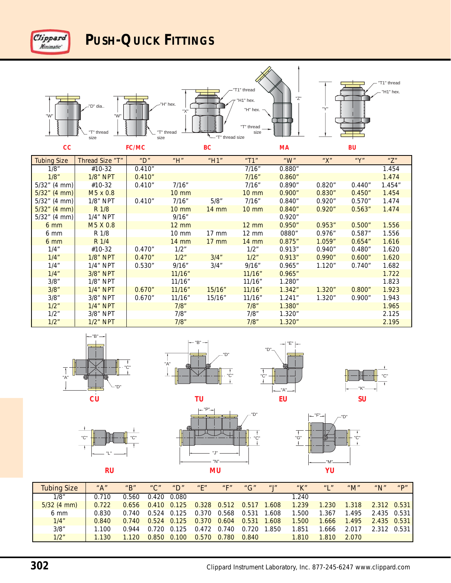













"C" "C"



| <b>Tubing Size</b> | " $A$ " | " $B$ " | " $C$ " | " $D$ " | $^{\prime\prime}$ F $^{\prime\prime}$ | $^{\prime\prime}$ $\Gamma$ $^{\prime\prime}$ | "G"   | $^{\prime\prime}$   $^{\prime\prime}$ | "K"   | $\frac{1}{2}$ $\frac{1}{2}$ | " $M"$ | " $N$ " | $^{\prime\prime}$ D $^{\prime\prime}$ |
|--------------------|---------|---------|---------|---------|---------------------------------------|----------------------------------------------|-------|---------------------------------------|-------|-----------------------------|--------|---------|---------------------------------------|
| 1/8"               | 0.710   | 0.560   | 0.420   | 0.080   |                                       |                                              |       |                                       | 1.240 |                             |        |         |                                       |
| $5/32$ (4 mm)      | 0.722   | 0.656   | 0.410   | 0.125   | 0.328                                 | 0.512                                        | 0.517 | 1.608                                 | 1.239 | 1.230                       | 1.318  |         | $2.312 \quad 0.531$                   |
| $6 \, \text{mm}$   | 0.830   | 0.740   | 0.524   | 0.125   | 0.370                                 | 0.568                                        | 0.531 | 1.608                                 | 1.500 | 1.367                       | 1.495  | 2.435   | 0.531                                 |
| 1/4"               | 0.840   | 0.740   | 0.524   | 0.125   | 0.370                                 | 0.604                                        | 0.531 | 1.608                                 | 1.500 | 1.666                       | 1.495  | 2.435   | 0.531                                 |
| 3/8''              | 1.100   | 0.944   | 0.720   | 0.125   | 0.472                                 | 0.740                                        | 0.720 | 1.850                                 | 1.851 | .666                        | 2.017  | 2.312   | 0.531                                 |
| 1/2"               | 1.130   | 1.120   | 0.850   | 0.100   | 0.570                                 | 0.780                                        | 0.840 |                                       | 1.810 | 810                         | 2.070  |         |                                       |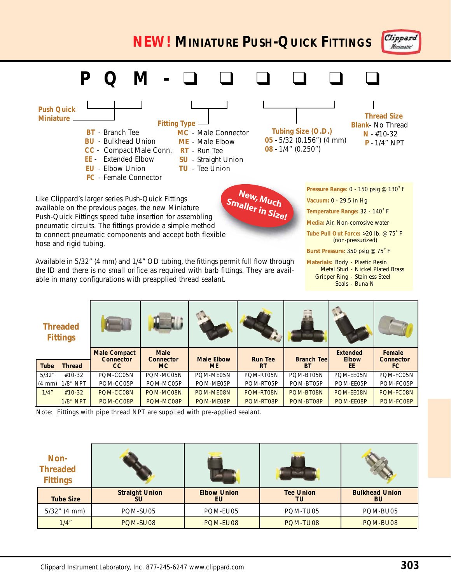**NEW! MINIATURE PUSH-QUICK FITTINGS**

Clippard Minimatic'



Available in 5/32" (4 mm) and 1/4" OD tubing, the fittings permit full flow through the ID and there is no small orifice as required with barb fittings. They are available in many configurations with preapplied thread sealant.

**Materials:** Body - Plastic Resin Metal Stud - Nickel Plated Brass Gripper Ring - Stainless Steel Seals - Buna N

|                  | <b>Threaded</b><br><b>Fittings</b> |                                  |                                 |                   |                |                    |                                 |                            |
|------------------|------------------------------------|----------------------------------|---------------------------------|-------------------|----------------|--------------------|---------------------------------|----------------------------|
|                  |                                    | <b>Male Compact</b><br>Connector | <b>Male</b><br><b>Connector</b> | <b>Male Elbow</b> | <b>Run Tee</b> | <b>Branch Teel</b> | <b>Extended</b><br><b>Elbow</b> | Female<br><b>Connector</b> |
| <b>Tube</b>      | <b>Thread</b>                      | CC.                              | MC.                             | <b>ME</b>         | <b>RT</b>      | BT                 | EE                              | FC.                        |
| 5/32"            | #10-32                             | POM-CC05N                        | POM-MC05N                       | POM-ME05N         | POM-RT05N      | POM-BT05N          | POM-EE05N                       | POM-FC05N                  |
| $(4 \text{ mm})$ | $1/8"$ NPT                         | POM-CC05P                        | POM-MC05P                       | POM-ME05P         | POM-RT05P      | POM-BT05P          | POM-EE05P                       | PQM-FC05P                  |
| 1/4"             | $#10-32$                           | POM-CC08N                        | POM-MC08N                       | POM-ME08N         | POM-RT08N      | POM-BT08N          | POM-EE08N                       | PQM-FC08N                  |
|                  | <b>1/8" NPT</b>                    | POM-CC08P                        | POM-MC08P                       | POM-ME08P         | POM-RT08P      | POM-BT08P          | POM-EE08P                       | POM-FC08P                  |

Note: Fittings with pipe thread NPT are supplied with pre-applied sealant.

| Non-<br><b>Threaded</b><br><b>Fittings</b> |                       |                          |                        |                                    |
|--------------------------------------------|-----------------------|--------------------------|------------------------|------------------------------------|
| <b>Tube Size</b>                           | <b>Straight Union</b> | <b>Elbow Union</b><br>EU | <b>Tee Union</b><br>TU | <b>Bulkhead Union</b><br><b>BU</b> |
| $5/32$ " (4 mm)                            | PQM-SU05              | PQM-EU05                 | PQM-TU05               | PQM-BU05                           |
| $1/4$ "                                    | PQM-SU08              | PQM-EU08                 | PQM-TU08               | PQM-BU08                           |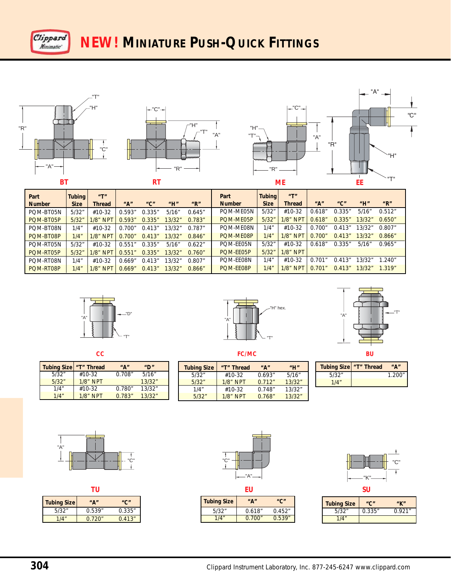







| Part          | Tubing      | $^{\prime\prime}$ T $^{\prime\prime}$ |        |                                       |        |                                       | Part          | <b>Tubing</b> | "T"                   |         |                                       |        |         |
|---------------|-------------|---------------------------------------|--------|---------------------------------------|--------|---------------------------------------|---------------|---------------|-----------------------|---------|---------------------------------------|--------|---------|
| <b>Number</b> | <b>Size</b> | <b>Thread</b>                         | "A"    | $^{\prime\prime}$ C $^{\prime\prime}$ | "H"    | $^{\prime\prime}$ R $^{\prime\prime}$ | <b>Number</b> | <b>Size</b>   | <b>Thread</b>         | "A"     | $^{\prime\prime}$ C $^{\prime\prime}$ | "H"    | ''R''   |
| POM-BT05N     | 5/32"       | #10-32                                | 0.593" | 0.335''                               | 5/16"  | 0.645"                                | POM-ME05N     | 5/32"         | #10-32                | 0.618'' | 0.335'                                | 5/16'' | 0.512"  |
| POM-BT05P     | 5/32"       | <b>NPT</b><br>1/8"                    | 0.593" | 0.335"                                | 13/32" | 0.783''                               | POM-ME05P     | 5/32"         | <b>NPT</b><br>$1/8$ " | 0.618"  | 0.335''                               | 13/32" | 0.650"  |
| POM-BT08N     | 1/4''       | $#10-32$                              | 0.700" | 0.413''                               | 13/32" | 0.787''                               | POM-ME08N     | $1/4$ "       | #10-32                | 0.700"  | 0.413"                                | 13/32″ | 0.807"  |
| POM-BT08P     | $1/4$ "     | $1/8$ " NPT                           | 0.700" | 0.413''                               | 13/32" | 0.846"                                | POM-ME08P     | 1/4"          | <b>NPT</b><br>1/8"    | 0.700"  | 0.413"                                | 13/32" | 0.866"  |
| POM-RT05N     | 5/32"       | $#10-32$                              | 0.551" | 0.335"                                | 5/16'' | 0.622"                                | POM-EE05N     | 5/32"         | $#10-32$              | 0.618'' | 0.335''                               | 5/16'' | 0.965"  |
| POM-RT05P     | 5/32"       | <b>1/8" NPT</b>                       | 0.551" | 0.335"                                | 13/32" | 0.760"                                | POM-EE05P     | 5/32"         | <b>1/8" NPT</b>       |         |                                       |        |         |
| POM-RT08N     | 1/4''       | $#10-32$                              | 0.669" | 0.413''                               | 13/32" | 0.807"                                | POM-EE08N     | 1/4"          | $#10-32$              | 0.701"  | 0.413''                               | 3/32"  | 1.240"  |
| POM-RT08P     | $1/4$ "     | $1/8$ " NPT                           | 0.669" | 0.413''                               | 13/32" | 0.866"                                | POM-EE08P     | 1/4"          | <b>NPT</b><br>1/8"    | 0.701"  | 0.413"                                | 13/32" | 1.319'' |



| <b>Tubing Size</b> | "T" Thread  | "А"     | $^{\prime\prime}$ D" |
|--------------------|-------------|---------|----------------------|
| 5/32"              | $#10-32$    | 0.708"  | 5/16''               |
| 5/32"              | $1/8$ " NPT |         | 13/32"               |
| 1/4''              | #10-32      | 0.780"  | 13/32"               |
| 1/4''              | $1/8$ " NPT | 0.783'' | 13/32"               |



|                    | ΤH      |         |
|--------------------|---------|---------|
| <b>Tubing Size</b> | "А"     | "C"     |
| 5/32"              | 0.539'' | 0.335'' |
| 1/4"               | 0.720"  | 0.413"  |





**CC FC/MC BU**

 $\frac{13}{32}$ <br>0.748" 13/32"<br>0.768" 13/32"

**Tubing Size "T" Thread "A" "H"** 5/32" | #10-32 0.693" 5/16"<br>5/32" | 1/8" NPT 0.712" 13/32" <mark>5/32" 1/8" NPT 0.712" 13/32"</mark><br>1/4" #10-32 0.748" 13/32"<br>1/8" NPT 0.768" 13/32"

1/8" NPT

| <b>Tubing Size</b> | "T" Thread | "А"    |
|--------------------|------------|--------|
| 5/32''             |            | 1.200" |
| 111"               |            |        |



| TU   |                                       |
|------|---------------------------------------|
| 'A"  | $^{\prime\prime}$ C $^{\prime\prime}$ |
| 539" | 0.335''                               |
| 720" | 0.413"                                |

|      | "C |
|------|----|
| "K"- |    |